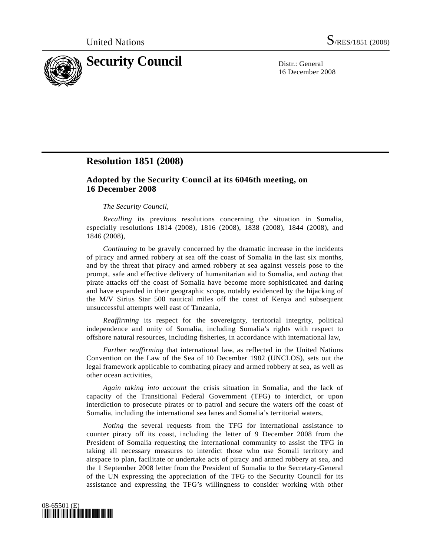

16 December 2008

## **Resolution 1851 (2008)**

## **Adopted by the Security Council at its 6046th meeting, on 16 December 2008**

## *The Security Council*,

*Recalling* its previous resolutions concerning the situation in Somalia, especially resolutions 1814 (2008), 1816 (2008), 1838 (2008), 1844 (2008), and 1846 (2008),

*Continuing* to be gravely concerned by the dramatic increase in the incidents of piracy and armed robbery at sea off the coast of Somalia in the last six months, and by the threat that piracy and armed robbery at sea against vessels pose to the prompt, safe and effective delivery of humanitarian aid to Somalia, and *noting* that pirate attacks off the coast of Somalia have become more sophisticated and daring and have expanded in their geographic scope, notably evidenced by the hijacking of the M/V Sirius Star 500 nautical miles off the coast of Kenya and subsequent unsuccessful attempts well east of Tanzania,

*Reaffirming* its respect for the sovereignty, territorial integrity, political independence and unity of Somalia, including Somalia's rights with respect to offshore natural resources, including fisheries, in accordance with international law,

*Further reaffirming* that international law, as reflected in the United Nations Convention on the Law of the Sea of 10 December 1982 (UNCLOS), sets out the legal framework applicable to combating piracy and armed robbery at sea, as well as other ocean activities,

*Again taking into account* the crisis situation in Somalia, and the lack of capacity of the Transitional Federal Government (TFG) to interdict, or upon interdiction to prosecute pirates or to patrol and secure the waters off the coast of Somalia, including the international sea lanes and Somalia's territorial waters,

*Noting* the several requests from the TFG for international assistance to counter piracy off its coast, including the letter of 9 December 2008 from the President of Somalia requesting the international community to assist the TFG in taking all necessary measures to interdict those who use Somali territory and airspace to plan, facilitate or undertake acts of piracy and armed robbery at sea, and the 1 September 2008 letter from the President of Somalia to the Secretary-General of the UN expressing the appreciation of the TFG to the Security Council for its assistance and expressing the TFG's willingness to consider working with other

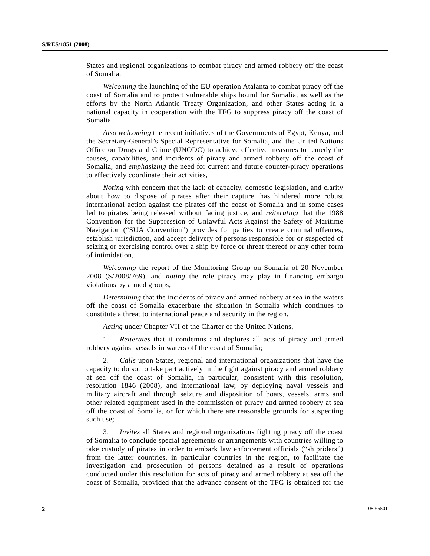States and regional organizations to combat piracy and armed robbery off the coast of Somalia,

*Welcoming* the launching of the EU operation Atalanta to combat piracy off the coast of Somalia and to protect vulnerable ships bound for Somalia, as well as the efforts by the North Atlantic Treaty Organization, and other States acting in a national capacity in cooperation with the TFG to suppress piracy off the coast of Somalia,

*Also welcoming* the recent initiatives of the Governments of Egypt, Kenya, and the Secretary-General's Special Representative for Somalia, and the United Nations Office on Drugs and Crime (UNODC) to achieve effective measures to remedy the causes, capabilities, and incidents of piracy and armed robbery off the coast of Somalia, and *emphasizing* the need for current and future counter-piracy operations to effectively coordinate their activities,

*Noting* with concern that the lack of capacity, domestic legislation, and clarity about how to dispose of pirates after their capture, has hindered more robust international action against the pirates off the coast of Somalia and in some cases led to pirates being released without facing justice, and *reiterating* that the 1988 Convention for the Suppression of Unlawful Acts Against the Safety of Maritime Navigation ("SUA Convention") provides for parties to create criminal offences, establish jurisdiction, and accept delivery of persons responsible for or suspected of seizing or exercising control over a ship by force or threat thereof or any other form of intimidation,

*Welcoming* the report of the Monitoring Group on Somalia of 20 November 2008 (S/2008/769), and *noting* the role piracy may play in financing embargo violations by armed groups,

*Determining* that the incidents of piracy and armed robbery at sea in the waters off the coast of Somalia exacerbate the situation in Somalia which continues to constitute a threat to international peace and security in the region,

*Acting* under Chapter VII of the Charter of the United Nations,

 1. *Reiterates* that it condemns and deplores all acts of piracy and armed robbery against vessels in waters off the coast of Somalia;

 2. *Calls* upon States, regional and international organizations that have the capacity to do so, to take part actively in the fight against piracy and armed robbery at sea off the coast of Somalia, in particular, consistent with this resolution, resolution 1846 (2008), and international law, by deploying naval vessels and military aircraft and through seizure and disposition of boats, vessels, arms and other related equipment used in the commission of piracy and armed robbery at sea off the coast of Somalia, or for which there are reasonable grounds for suspecting such use;

 3. *Invites* all States and regional organizations fighting piracy off the coast of Somalia to conclude special agreements or arrangements with countries willing to take custody of pirates in order to embark law enforcement officials ("shipriders") from the latter countries, in particular countries in the region, to facilitate the investigation and prosecution of persons detained as a result of operations conducted under this resolution for acts of piracy and armed robbery at sea off the coast of Somalia, provided that the advance consent of the TFG is obtained for the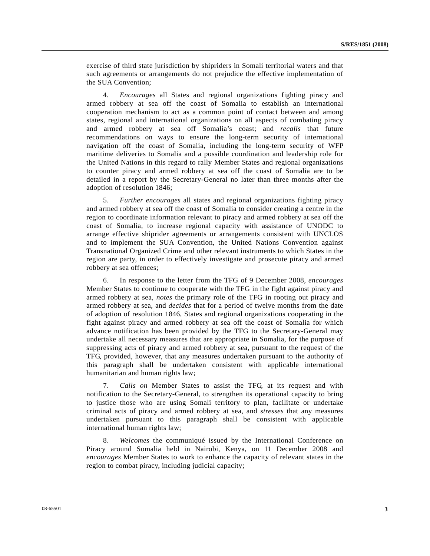exercise of third state jurisdiction by shipriders in Somali territorial waters and that such agreements or arrangements do not prejudice the effective implementation of the SUA Convention;

 4. *Encourages* all States and regional organizations fighting piracy and armed robbery at sea off the coast of Somalia to establish an international cooperation mechanism to act as a common point of contact between and among states, regional and international organizations on all aspects of combating piracy and armed robbery at sea off Somalia's coast; and *recalls* that future recommendations on ways to ensure the long-term security of international navigation off the coast of Somalia, including the long-term security of WFP maritime deliveries to Somalia and a possible coordination and leadership role for the United Nations in this regard to rally Member States and regional organizations to counter piracy and armed robbery at sea off the coast of Somalia are to be detailed in a report by the Secretary-General no later than three months after the adoption of resolution 1846;

 5. *Further encourages* all states and regional organizations fighting piracy and armed robbery at sea off the coast of Somalia to consider creating a centre in the region to coordinate information relevant to piracy and armed robbery at sea off the coast of Somalia, to increase regional capacity with assistance of UNODC to arrange effective shiprider agreements or arrangements consistent with UNCLOS and to implement the SUA Convention, the United Nations Convention against Transnational Organized Crime and other relevant instruments to which States in the region are party, in order to effectively investigate and prosecute piracy and armed robbery at sea offences;

 6. In response to the letter from the TFG of 9 December 2008, *encourages* Member States to continue to cooperate with the TFG in the fight against piracy and armed robbery at sea, *notes* the primary role of the TFG in rooting out piracy and armed robbery at sea, and *decides* that for a period of twelve months from the date of adoption of resolution 1846, States and regional organizations cooperating in the fight against piracy and armed robbery at sea off the coast of Somalia for which advance notification has been provided by the TFG to the Secretary-General may undertake all necessary measures that are appropriate in Somalia, for the purpose of suppressing acts of piracy and armed robbery at sea, pursuant to the request of the TFG, provided, however, that any measures undertaken pursuant to the authority of this paragraph shall be undertaken consistent with applicable international humanitarian and human rights law;

 7. *Calls on* Member States to assist the TFG, at its request and with notification to the Secretary-General, to strengthen its operational capacity to bring to justice those who are using Somali territory to plan, facilitate or undertake criminal acts of piracy and armed robbery at sea, and *stresses* that any measures undertaken pursuant to this paragraph shall be consistent with applicable international human rights law;

 8. *Welcomes* the communiqué issued by the International Conference on Piracy around Somalia held in Nairobi, Kenya, on 11 December 2008 and *encourages* Member States to work to enhance the capacity of relevant states in the region to combat piracy, including judicial capacity;